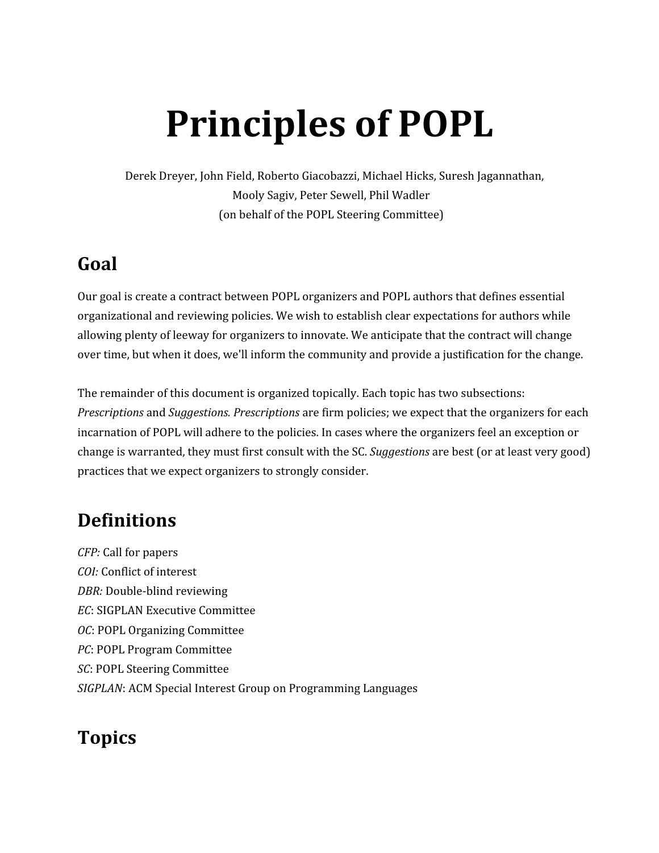# **Principles of POPL**

Derek Dreyer, John Field, Roberto Giacobazzi, Michael Hicks, Suresh Jagannathan, Mooly Sagiv, Peter Sewell, Phil Wadler (on behalf of the POPL Steering Committee)

# **Goal**

Our goal is create a contract between POPL organizers and POPL authors that defines essential organizational and reviewing policies. We wish to establish clear expectations for authors while allowing plenty of leeway for organizers to innovate. We anticipate that the contract will change over time, but when it does, we'll inform the community and provide a justification for the change.

The remainder of this document is organized topically. Each topic has two subsections: *Prescriptions* and *Suggestions. Prescriptions* are firm policies; we expect that the organizers for each incarnation of POPL will adhere to the policies. In cases where the organizers feel an exception or change is warranted, they must first consult with the SC. *Suggestions* are best (or at least very good) practices that we expect organizers to strongly consider.

# **Definitions**

*CFP:* Call for papers *COI:* Conflict of interest *DBR:* Double-blind reviewing *EC*: SIGPLAN Executive Committee *OC*: POPL Organizing Committee *PC*: POPL Program Committee *SC*: POPL Steering Committee *SIGPLAN*: ACM Special Interest Group on Programming Languages

# **Topics**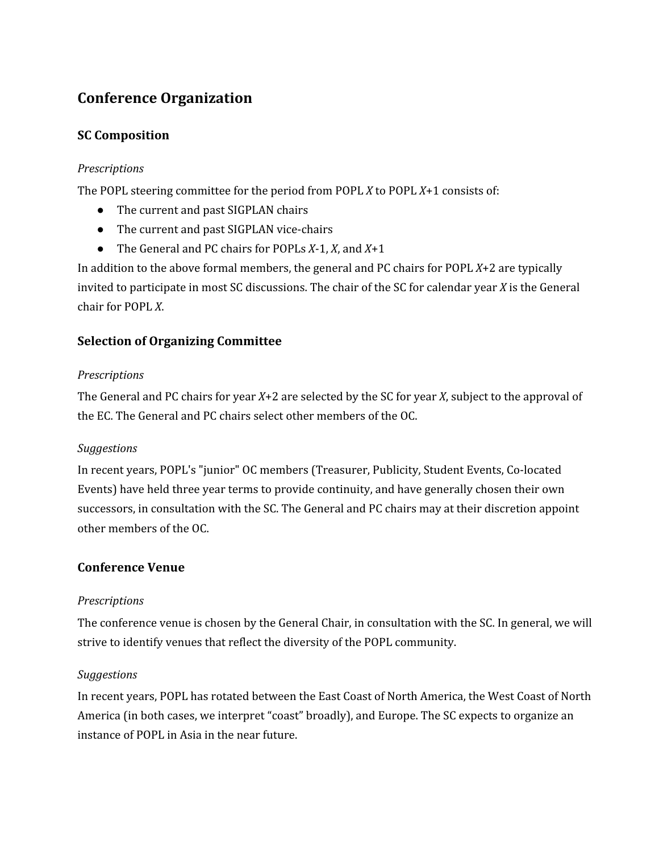# **Conference Organization**

# **SC Composition**

#### *Prescriptions*

The POPL steering committee for the period from POPL *X* to POPL *X*+1 consists of:

- The current and past SIGPLAN chairs
- The current and past SIGPLAN vice-chairs
- The General and PC chairs for POPLs *X*-1, *X*, and *X*+1

In addition to the above formal members, the general and PC chairs for POPL *X*+2 are typically invited to participate in most SC discussions. The chair of the SC for calendar year *X* is the General chair for POPL *X*.

# **Selection of Organizing Committee**

#### *Prescriptions*

The General and PC chairs for year *X*+2 are selected by the SC for year *X*, subject to the approval of the EC. The General and PC chairs select other members of the OC.

#### *Suggestions*

In recent years, POPL's "junior" OC members (Treasurer, Publicity, Student Events, Co-located Events) have held three year terms to provide continuity, and have generally chosen their own successors, in consultation with the SC. The General and PC chairs may at their discretion appoint other members of the OC.

#### **Conference Venue**

#### *Prescriptions*

The conference venue is chosen by the General Chair, in consultation with the SC. In general, we will strive to identify venues that reflect the diversity of the POPL community.

#### *Suggestions*

In recent years, POPL has rotated between the East Coast of North America, the West Coast of North America (in both cases, we interpret "coast" broadly), and Europe. The SC expects to organize an instance of POPL in Asia in the near future.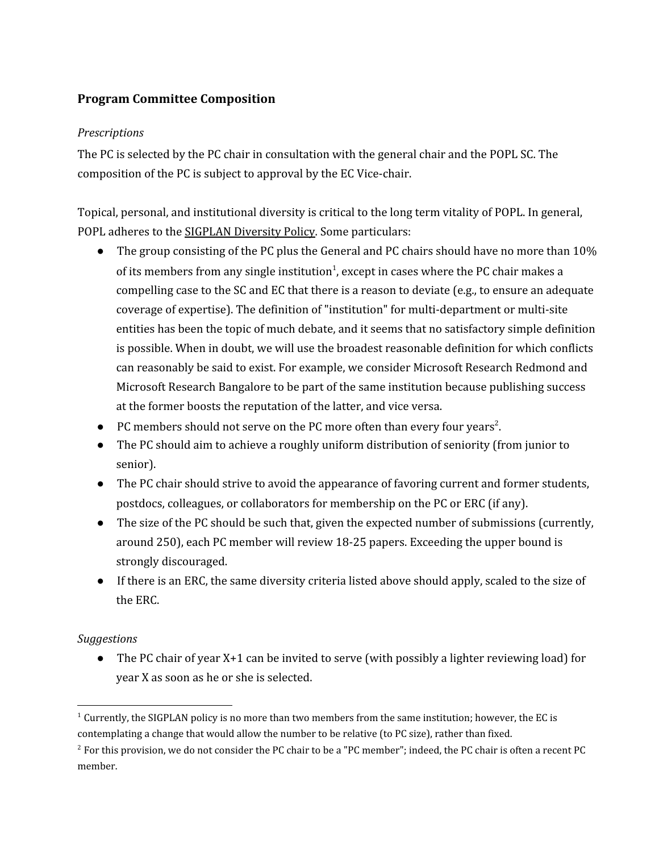# **Program Committee Composition**

#### *Prescriptions*

The PC is selected by the PC chair in consultation with the general chair and the POPL SC. The composition of the PC is subject to approval by the EC Vice-chair.

Topical, personal, and institutional diversity is critical to the long term vitality of POPL. In general, POPL adheres to the SIGPLAN [Diversity](http://www.google.com/url?q=http%3A%2F%2Fwww.sigplan.org%2FResources%2FPolicies%2FDiversity&sa=D&sntz=1&usg=AFQjCNERo36m4bpsxzNGYxUuUFWHt98ccA) Policy. Some particulars:

- The group consisting of the PC plus the General and PC chairs should have no more than 10% of its members from any single institution<sup>1</sup>, except in cases where the PC chair makes a compelling case to the SC and EC that there is a reason to deviate (e.g., to ensure an adequate coverage of expertise). The definition of "institution" for multi-department or multi-site entities has been the topic of much debate, and it seems that no satisfactory simple definition is possible. When in doubt, we will use the broadest reasonable definition for which conflicts can reasonably be said to exist. For example, we consider Microsoft Research Redmond and Microsoft Research Bangalore to be part of the same institution because publishing success at the former boosts the reputation of the latter, and vice versa.
- $\bullet$  PC members should not serve on the PC more often than every four years<sup>2</sup>.
- The PC should aim to achieve a roughly uniform distribution of seniority (from junior to senior).
- The PC chair should strive to avoid the appearance of favoring current and former students, postdocs, colleagues, or collaborators for membership on the PC or ERC (if any).
- The size of the PC should be such that, given the expected number of submissions (currently, around 250), each PC member will review 18-25 papers. Exceeding the upper bound is strongly discouraged.
- If there is an ERC, the same diversity criteria listed above should apply, scaled to the size of the ERC.

#### *Suggestions*

• The PC chair of year X+1 can be invited to serve (with possibly a lighter reviewing load) for year X as soon as he or she is selected.

 $1$  Currently, the SIGPLAN policy is no more than two members from the same institution; however, the EC is contemplating a change that would allow the number to be relative (to PC size), rather than fixed.

<sup>&</sup>lt;sup>2</sup> For this provision, we do not consider the PC chair to be a "PC member"; indeed, the PC chair is often a recent PC member.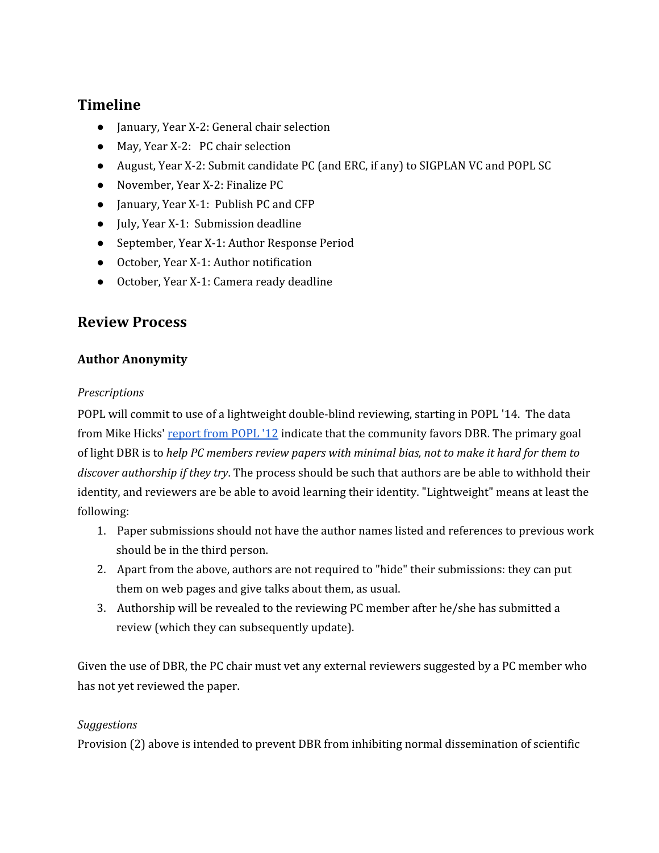# **Timeline**

- January, Year X-2: General chair selection
- May, Year X-2: PC chair selection
- August, Year X-2: Submit candidate PC (and ERC, if any) to SIGPLAN VC and POPL SC
- November, Year X-2: Finalize PC
- January, Year X-1: Publish PC and CFP
- July, Year X-1: Submission deadline
- September, Year X-1: Author Response Period
- October, Year X-1: Author notification
- October, Year X-1: Camera ready deadline

# **Review Process**

# **Author Anonymity**

#### *Prescriptions*

POPL will commit to use of a lightweight double-blind reviewing, starting in POPL '14. The data from Mike Hicks' [report](http://www.google.com/url?q=http%3A%2F%2Fwww.cs.umd.edu%2F~mwh%2Fpapers%2Fpopl12recap.pdf&sa=D&sntz=1&usg=AFQjCNF7fQaXnePkknXi5ZB9pcqMG2V2HQ) from POPL '12 indicate that the community favors DBR. The primary goal of light DBR is to *help PC members review papers with minimal bias, not to make it hard for them to discover authorship if they try*. The process should be such that authors are be able to withhold their identity, and reviewers are be able to avoid learning their identity. "Lightweight" means at least the following:

- 1. Paper submissions should not have the author names listed and references to previous work should be in the third person.
- 2. Apart from the above, authors are not required to "hide" their submissions: they can put them on web pages and give talks about them, as usual.
- 3. Authorship will be revealed to the reviewing PC member after he/she has submitted a review (which they can subsequently update).

Given the use of DBR, the PC chair must vet any external reviewers suggested by a PC member who has not yet reviewed the paper.

#### *Suggestions*

Provision (2) above is intended to prevent DBR from inhibiting normal dissemination of scientific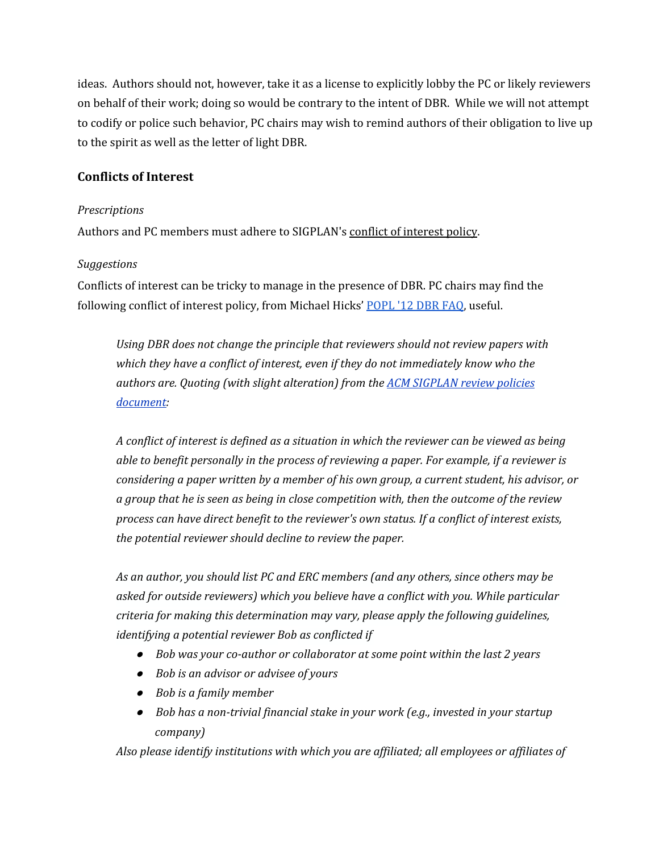ideas. Authors should not, however, take it as a license to explicitly lobby the PC or likely reviewers on behalf of their work; doing so would be contrary to the intent of DBR. While we will not attempt to codify or police such behavior, PC chairs may wish to remind authors of their obligation to live up to the spirit as well as the letter of light DBR.

#### **Conflicts of Interest**

#### *Prescriptions*

Authors and PC members must adhere to SIGPLAN's conflict of [interest](http://www.google.com/url?q=http%3A%2F%2Fwww.sigplan.org%2Freview_policies.htm&sa=D&sntz=1&usg=AFQjCNGDC7Baad6UTZ4B79vApgaaX4jj7g) policy.

#### *Suggestions*

Conflicts of interest can be tricky to manage in the presence of DBR. PC chairs may find the following conflict of interest policy, from Michael Hicks' [POPL](http://www.google.com/url?q=http%3A%2F%2Fwww.cs.umd.edu%2F~mwh%2Fdbr-faq.html&sa=D&sntz=1&usg=AFQjCNHX8TFhyphOkGd-TvYKlmBlBnhFGg) '12 DBR FAQ, useful.

*Using DBR does not change the principle that reviewers should not review papers with which they have a conflict of interest, even if they do not immediately know who the authors are. Quoting (with slight alteration) from the ACM [SIGPLAN](http://www.google.com/url?q=http%3A%2F%2Fsigplan.acm.org%2Freview_policies.htm&sa=D&sntz=1&usg=AFQjCNF4naqoz6Ehf7L5-jUhPAP3S3ZZDA) review policies [document:](http://www.google.com/url?q=http%3A%2F%2Fsigplan.acm.org%2Freview_policies.htm&sa=D&sntz=1&usg=AFQjCNF4naqoz6Ehf7L5-jUhPAP3S3ZZDA)*

*A conflict of interest is defined as a situation in which the reviewer can be viewed as being able to benefit personally in the process of reviewing a paper. For example, if a reviewer is considering a paper written by a member of his own group, a current student, his advisor, or a group that he is seen as being in close competition with, then the outcome of the review process can have direct benefit to the reviewer's own status. If a conflict of interest exists, the potential reviewer should decline to review the paper.*

*As an author, you should list PC and ERC members (and any others, since others may be asked for outside reviewers) which you believe have a conflict with you. While particular criteria for making this determination may vary, please apply the following guidelines, identifying a potential reviewer Bob as conflicted if*

- *Bob was your co-author or collaborator at some point within the last 2 years*
- *Bob is an advisor or advisee of yours*
- *Bob is a family member*
- *Bob has a non-trivial financial stake in your work (e.g., invested in your startup company)*

*Also please identify institutions with which you are af iliated; all employees or af iliates of*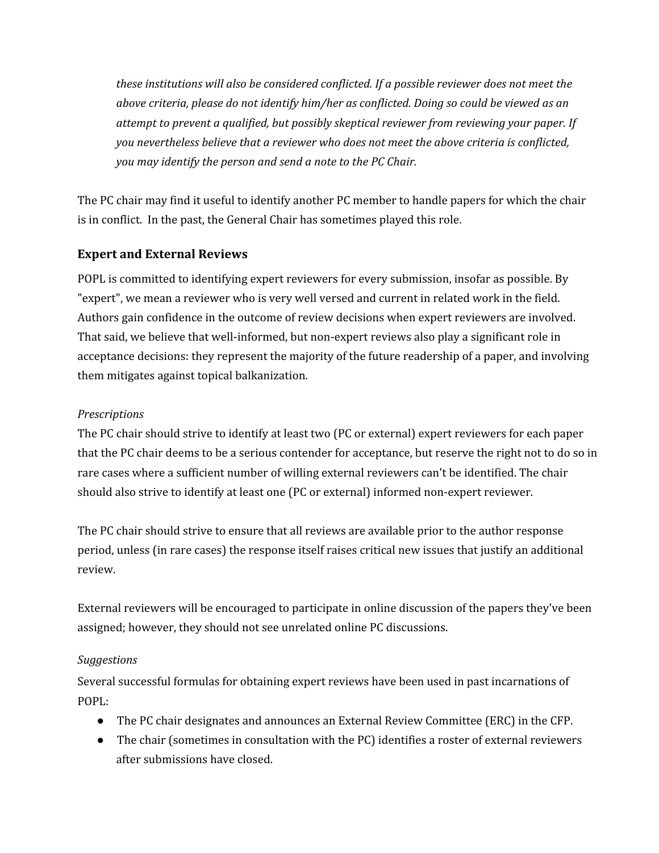*these institutions will also be considered conflicted. If a possible reviewer does not meet the above criteria, please do not identify him/her as conflicted. Doing so could be viewed as an attempt to prevent a qualified, but possibly skeptical reviewer from reviewing your paper. If you nevertheless believe that a reviewer who does not meet the above criteria is conflicted, you may identify the person and send a note to the PC Chair.*

The PC chair may find it useful to identify another PC member to handle papers for which the chair is in conflict. In the past, the General Chair has sometimes played this role.

# **Expert and External Reviews**

POPL is committed to identifying expert reviewers for every submission, insofar as possible. By "expert", we mean a reviewer who is very well versed and current in related work in the field. Authors gain confidence in the outcome of review decisions when expert reviewers are involved. That said, we believe that well-informed, but non-expert reviews also play a significant role in acceptance decisions: they represent the majority of the future readership of a paper, and involving them mitigates against topical balkanization.

#### *Prescriptions*

The PC chair should strive to identify at least two (PC or external) expert reviewers for each paper that the PC chair deems to be a serious contender for acceptance, but reserve the right not to do so in rare cases where a sufficient number of willing external reviewers can't be identified. The chair should also strive to identify at least one (PC or external) informed non-expert reviewer.

The PC chair should strive to ensure that all reviews are available prior to the author response period, unless (in rare cases) the response itself raises critical new issues that justify an additional review.

External reviewers will be encouraged to participate in online discussion of the papers they've been assigned; however, they should not see unrelated online PC discussions.

#### *Suggestions*

Several successful formulas for obtaining expert reviews have been used in past incarnations of POPL:

- The PC chair designates and announces an External Review Committee (ERC) in the CFP.
- The chair (sometimes in consultation with the PC) identifies a roster of external reviewers after submissions have closed.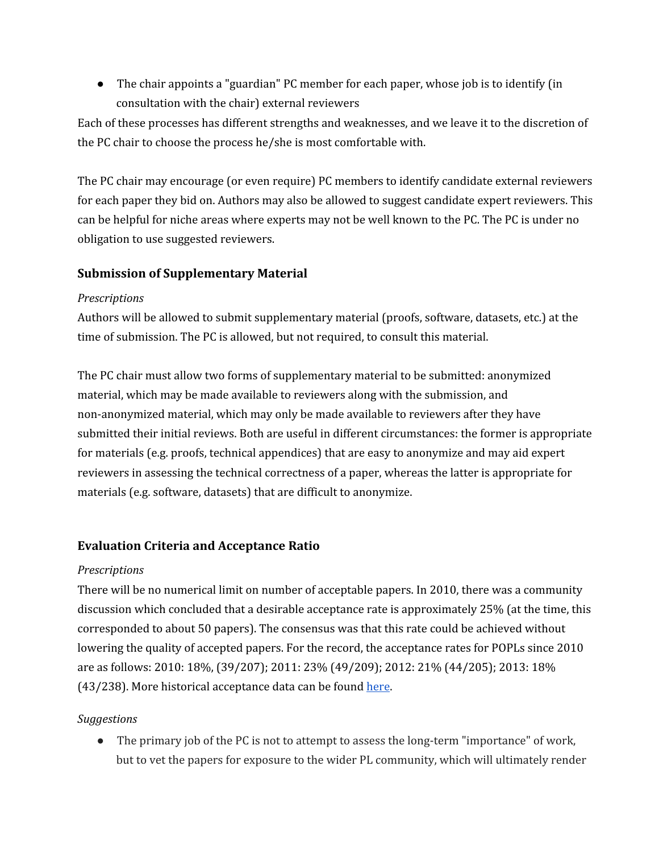● The chair appoints a "guardian" PC member for each paper, whose job is to identify (in consultation with the chair) external reviewers

Each of these processes has different strengths and weaknesses, and we leave it to the discretion of the PC chair to choose the process he/she is most comfortable with.

The PC chair may encourage (or even require) PC members to identify candidate external reviewers for each paper they bid on. Authors may also be allowed to suggest candidate expert reviewers. This can be helpful for niche areas where experts may not be well known to the PC. The PC is under no obligation to use suggested reviewers.

# **Submission of Supplementary Material**

#### *Prescriptions*

Authors will be allowed to submit supplementary material (proofs, software, datasets, etc.) at the time of submission. The PC is allowed, but not required, to consult this material.

The PC chair must allow two forms of supplementary material to be submitted: anonymized material, which may be made available to reviewers along with the submission, and non-anonymized material, which may only be made available to reviewers after they have submitted their initial reviews. Both are useful in different circumstances: the former is appropriate for materials (e.g. proofs, technical appendices) that are easy to anonymize and may aid expert reviewers in assessing the technical correctness of a paper, whereas the latter is appropriate for materials (e.g. software, datasets) that are difficult to anonymize.

# **Evaluation Criteria and Acceptance Ratio**

#### *Prescriptions*

There will be no numerical limit on number of acceptable papers. In 2010, there was a community discussion which concluded that a desirable acceptance rate is approximately 25% (at the time, this corresponded to about 50 papers). The consensus was that this rate could be achieved without lowering the quality of accepted papers. For the record, the acceptance rates for POPLs since 2010 are as follows: 2010: 18%, (39/207); 2011: 23% (49/209); 2012: 21% (44/205); 2013: 18% (43/238). More historical acceptance data can be found [here.](http://www.google.com/url?q=http%3A%2F%2Fdl.acm.org%2Fcitation.cfm%3Fid%3D2429069%26coll%3DDL%26dl%3DGUIDE%26CFID%3D262625600%26CFTOKEN%3D25474828&sa=D&sntz=1&usg=AFQjCNHBFoQejr-nbhxK2-3QdjGQOV__yA)

#### *Suggestions*

● The primary job of the PC is not to attempt to assess the long-term "importance" of work, but to vet the papers for exposure to the wider PL community, which will ultimately render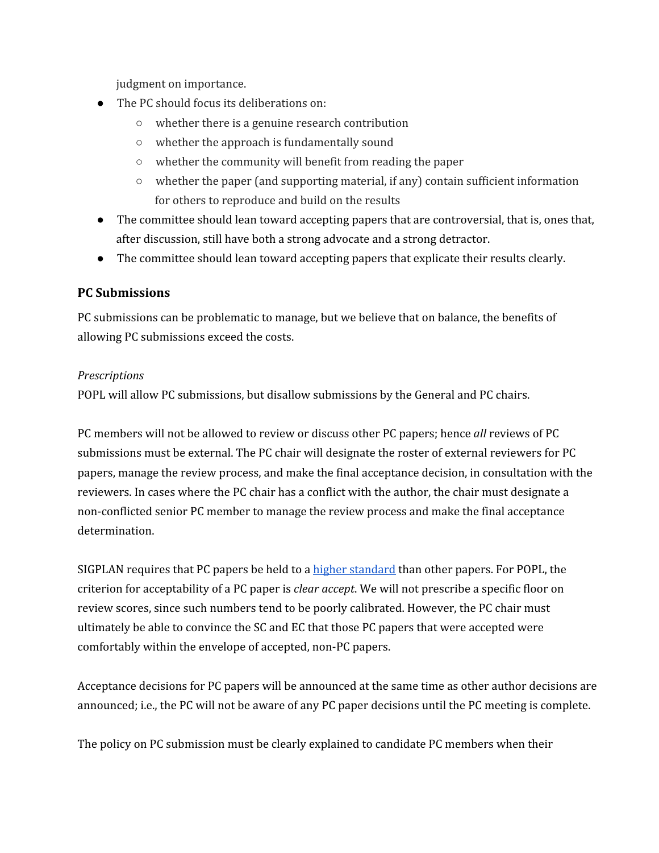judgment on importance.

- The PC should focus its deliberations on:
	- whether there is a genuine research contribution
	- whether the approach is fundamentally sound
	- whether the community will benefit from reading the paper
	- $\circ$  whether the paper (and supporting material, if any) contain sufficient information for others to reproduce and build on the results
- The committee should lean toward accepting papers that are controversial, that is, ones that, after discussion, still have both a strong advocate and a strong detractor.
- The committee should lean toward accepting papers that explicate their results clearly.

# **PC Submissions**

PC submissions can be problematic to manage, but we believe that on balance, the benefits of allowing PC submissions exceed the costs.

#### *Prescriptions*

POPL will allow PC submissions, but disallow submissions by the General and PC chairs.

PC members will not be allowed to review or discuss other PC papers; hence *all* reviews of PC submissions must be external. The PC chair will designate the roster of external reviewers for PC papers, manage the review process, and make the final acceptance decision, in consultation with the reviewers. In cases where the PC chair has a conflict with the author, the chair must designate a non-conflicted senior PC member to manage the review process and make the final acceptance determination.

SIGPLAN requires that PC papers be held to a higher [standard](http://www.google.com/url?q=http%3A%2F%2Fwww.sigplan.org%2FResources%2FGuidelines%2FProChair&sa=D&sntz=1&usg=AFQjCNGlS24KYZBoaseftCH07JAYt3LPsA) than other papers. For POPL, the criterion for acceptability of a PC paper is *clear accept*. We will not prescribe a specific floor on review scores, since such numbers tend to be poorly calibrated. However, the PC chair must ultimately be able to convince the SC and EC that those PC papers that were accepted were comfortably within the envelope of accepted, non-PC papers.

Acceptance decisions for PC papers will be announced at the same time as other author decisions are announced; i.e., the PC will not be aware of any PC paper decisions until the PC meeting is complete.

The policy on PC submission must be clearly explained to candidate PC members when their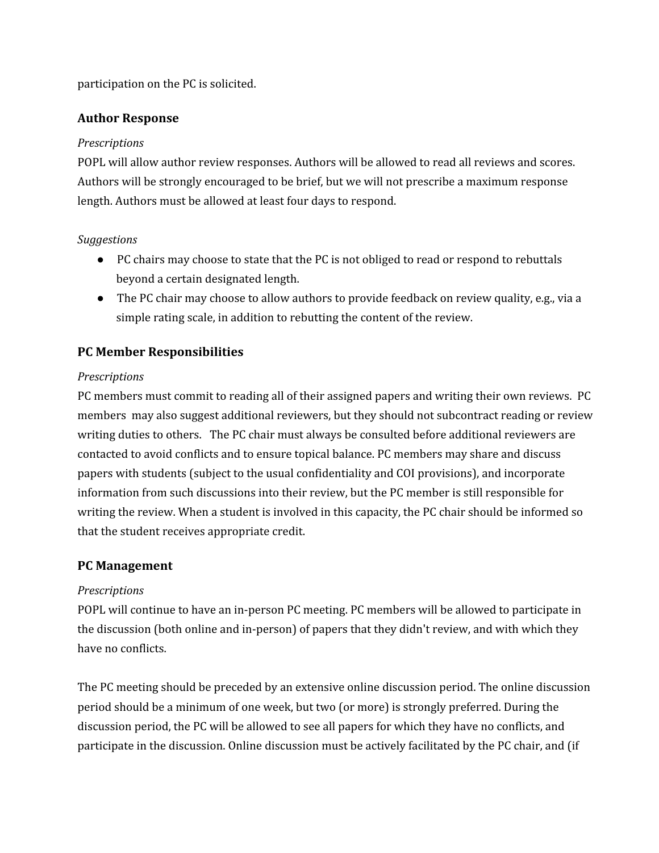participation on the PC is solicited.

#### **Author Response**

#### *Prescriptions*

POPL will allow author review responses. Authors will be allowed to read all reviews and scores. Authors will be strongly encouraged to be brief, but we will not prescribe a maximum response length. Authors must be allowed at least four days to respond.

#### *Suggestions*

- PC chairs may choose to state that the PC is not obliged to read or respond to rebuttals beyond a certain designated length.
- The PC chair may choose to allow authors to provide feedback on review quality, e.g., via a simple rating scale, in addition to rebutting the content of the review.

# **PC Member Responsibilities**

#### *Prescriptions*

PC members must commit to reading all of their assigned papers and writing their own reviews. PC members may also suggest additional reviewers, but they should not subcontract reading or review writing duties to others. The PC chair must always be consulted before additional reviewers are contacted to avoid conflicts and to ensure topical balance. PC members may share and discuss papers with students (subject to the usual confidentiality and COI provisions), and incorporate information from such discussions into their review, but the PC member is still responsible for writing the review. When a student is involved in this capacity, the PC chair should be informed so that the student receives appropriate credit.

#### **PC Management**

#### *Prescriptions*

POPL will continue to have an in-person PC meeting. PC members will be allowed to participate in the discussion (both online and in-person) of papers that they didn't review, and with which they have no conflicts.

The PC meeting should be preceded by an extensive online discussion period. The online discussion period should be a minimum of one week, but two (or more) is strongly preferred. During the discussion period, the PC will be allowed to see all papers for which they have no conflicts, and participate in the discussion. Online discussion must be actively facilitated by the PC chair, and (if